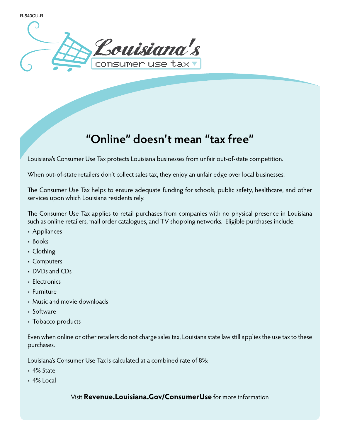R-540CU-R



## **"Online" doesn't mean "tax free"**

Louisiana's Consumer Use Tax protects Louisiana businesses from unfair out-of-state competition.

When out-of-state retailers don't collect sales tax, they enjoy an unfair edge over local businesses.

The Consumer Use Tax helps to ensure adequate funding for schools, public safety, healthcare, and other services upon which Louisiana residents rely.

The Consumer Use Tax applies to retail purchases from companies with no physical presence in Louisiana such as online retailers, mail order catalogues, and TV shopping networks. Eligible purchases include:

- Appliances
- Books
- Clothing
- Computers
- DVDs and CDs
- Electronics
- Furniture
- Music and movie downloads
- Software
- Tobacco products

Even when online or other retailers do not charge sales tax, Louisiana state law still applies the use tax to these purchases.

Louisiana's Consumer Use Tax is calculated at a combined rate of 8%:

- • 4% State
- $\cdot$  4% Local

Visit **Revenue.Louisiana.Gov/ConsumerUse** for more information